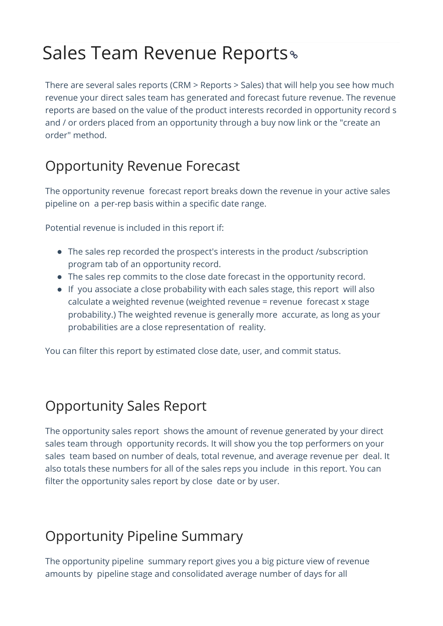## Sales Team Revenue Reports

There are several sales reports (CRM > Reports > Sales) that will help you see how much revenue your direct sales team has generated and forecast future revenue. The revenue reports are based on the value of the product interests recorded in opportunity record s and / or orders placed from an opportunity through a buy now link or the "create an order" method.

## Opportunity Revenue Forecast

The opportunity revenue forecast report breaks down the revenue in your active sales pipeline on a per-rep basis within a specific date range.

Potential revenue is included in this report if:

- The sales rep recorded the prospect's interests in the product /subscription program tab of an opportunity record.
- The sales rep commits to the close date forecast in the opportunity record.
- If you associate a close probability with each sales stage, this report will also calculate a weighted revenue (weighted revenue = revenue forecast x stage probability.) The weighted revenue is generally more accurate, as long as your probabilities are a close representation of reality.

You can filter this report by estimated close date, user, and commit status.

## Opportunity Sales Report

The opportunity sales report shows the amount of revenue generated by your direct sales team through opportunity records. It will show you the top performers on your sales team based on number of deals, total revenue, and average revenue per deal. It also totals these numbers for all of the sales reps you include in this report. You can filter the opportunity sales report by close date or by user.

## Opportunity Pipeline Summary

The opportunity pipeline summary report gives you a big picture view of revenue amounts by pipeline stage and consolidated average number of days for all